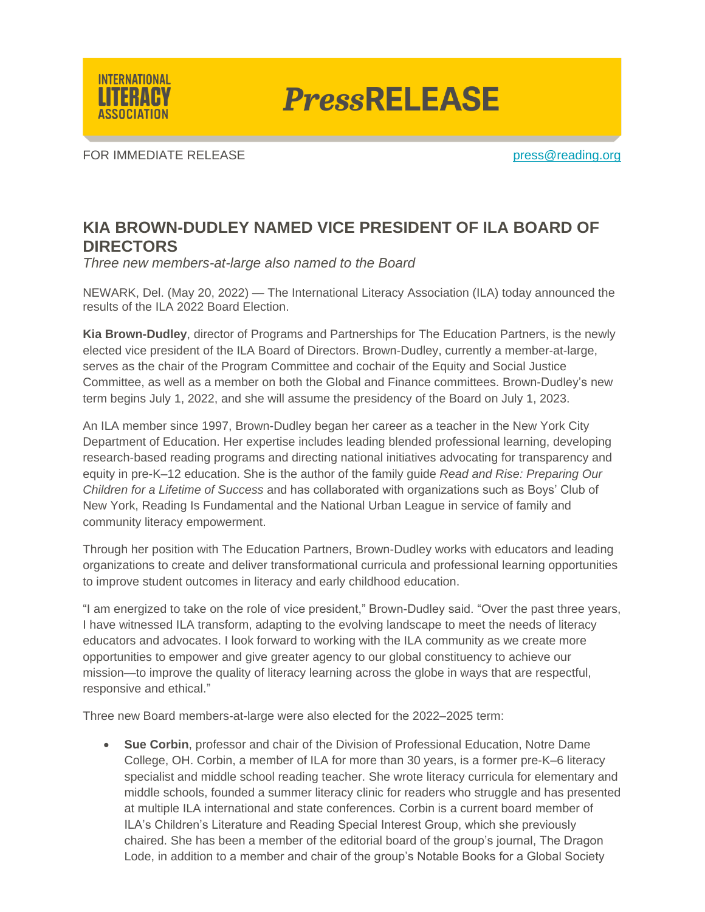

**PressRELEASE** 

FOR IMMEDIATE RELEASE **press**@reading.org

## **KIA BROWN-DUDLEY NAMED VICE PRESIDENT OF ILA BOARD OF DIRECTORS**

*Three new members-at-large also named to the Board*

NEWARK, Del. (May 20, 2022) — The International Literacy Association (ILA) today announced the results of the ILA 2022 Board Election.

**Kia Brown-Dudley**, director of Programs and Partnerships for The Education Partners, is the newly elected vice president of the ILA Board of Directors. Brown-Dudley, currently a member-at-large, serves as the chair of the Program Committee and cochair of the Equity and Social Justice Committee, as well as a member on both the Global and Finance committees. Brown-Dudley's new term begins July 1, 2022, and she will assume the presidency of the Board on July 1, 2023.

An ILA member since 1997, Brown-Dudley began her career as a teacher in the New York City Department of Education. Her expertise includes leading blended professional learning, developing research-based reading programs and directing national initiatives advocating for transparency and equity in pre-K–12 education. She is the author of the family guide *Read and Rise: Preparing Our Children for a Lifetime of Success* and has collaborated with organizations such as Boys' Club of New York, Reading Is Fundamental and the National Urban League in service of family and community literacy empowerment.

Through her position with The Education Partners, Brown-Dudley works with educators and leading organizations to create and deliver transformational curricula and professional learning opportunities to improve student outcomes in literacy and early childhood education.

"I am energized to take on the role of vice president," Brown-Dudley said. "Over the past three years, I have witnessed ILA transform, adapting to the evolving landscape to meet the needs of literacy educators and advocates. I look forward to working with the ILA community as we create more opportunities to empower and give greater agency to our global constituency to achieve our mission—to improve the quality of literacy learning across the globe in ways that are respectful, responsive and ethical."

Three new Board members-at-large were also elected for the 2022–2025 term:

• **Sue Corbin**, professor and chair of the Division of Professional Education, Notre Dame College, OH. Corbin, a member of ILA for more than 30 years, is a former pre-K–6 literacy specialist and middle school reading teacher. She wrote literacy curricula for elementary and middle schools, founded a summer literacy clinic for readers who struggle and has presented at multiple ILA international and state conferences. Corbin is a current board member of ILA's Children's Literature and Reading Special Interest Group, which she previously chaired. She has been a member of the editorial board of the group's journal, The Dragon Lode, in addition to a member and chair of the group's Notable Books for a Global Society